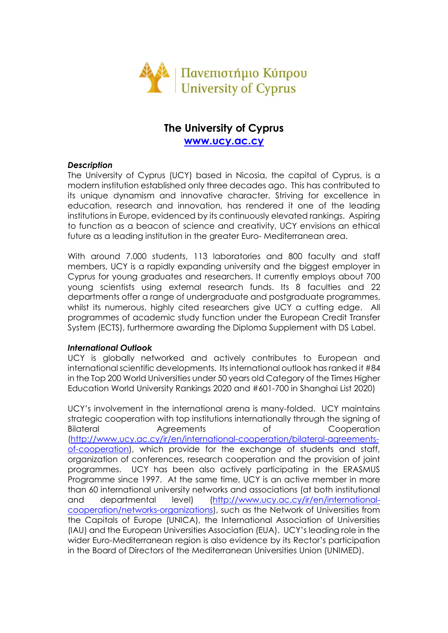

# **The University of Cyprus [www.ucy.ac.cy](http://www.ucy.ac.cy/)**

## *Description*

The University of Cyprus (UCY) based in Nicosia, the capital of Cyprus, is a modern institution established only three decades ago. This has contributed to its unique dynamism and innovative character. Striving for excellence in education, research and innovation, has rendered it one of the leading institutions in Europe, evidenced by its continuously elevated rankings. Aspiring to function as a beacon of science and creativity, UCY envisions an ethical future as a leading institution in the greater Euro- Mediterranean area.

With around 7.000 students, 113 laboratories and 800 faculty and staff members, UCY is a rapidly expanding university and the biggest employer in Cyprus for young graduates and researchers. It currently employs about 700 young scientists using external research funds. Its 8 faculties and 22 departments offer a range of undergraduate and postgraduate programmes, whilst its numerous, highly cited researchers give UCY a cutting edge. All programmes of academic study function under the European Credit Transfer System (ECTS), furthermore awarding the Diploma Supplement with DS Label.

## *International Outlook*

UCY is globally networked and actively contributes to European and international scientific developments. Its international outlook has ranked it #84 in the Top 200 World Universities under 50 years old Category of the Times Higher Education World University Rankings 2020 and #601-700 in Shanghai List 2020)

UCY's involvement in the international arena is many-folded. UCY maintains strategic cooperation with top institutions internationally through the signing of Bilateral **Agreements** of Cooperation [\(http://www.ucy.ac.cy/ir/en/international-cooperation/bilateral-agreements](http://www.ucy.ac.cy/ir/en/international-cooperation/bilateral-agreements-of-cooperation)[of-cooperation\)](http://www.ucy.ac.cy/ir/en/international-cooperation/bilateral-agreements-of-cooperation), which provide for the exchange of students and staff, organization of conferences, research cooperation and the provision of joint programmes. UCY has been also actively participating in the ERASMUS Programme since 1997. At the same time, UCY is an active member in more than 60 international university networks and associations (at both institutional and departmental level) [\(http://www.ucy.ac.cy/ir/en/international](http://www.ucy.ac.cy/ir/en/international-cooperation/networks-organizations)[cooperation/networks-organizations\)](http://www.ucy.ac.cy/ir/en/international-cooperation/networks-organizations), such as the Network of Universities from the Capitals of Europe (UNICA), the International Association of Universities (IAU) and the European Universities Association (EUA). UCY's leading role in the wider Euro-Mediterranean region is also evidence by its Rector's participation in the Board of Directors of the Mediterranean Universities Union (UNIMED).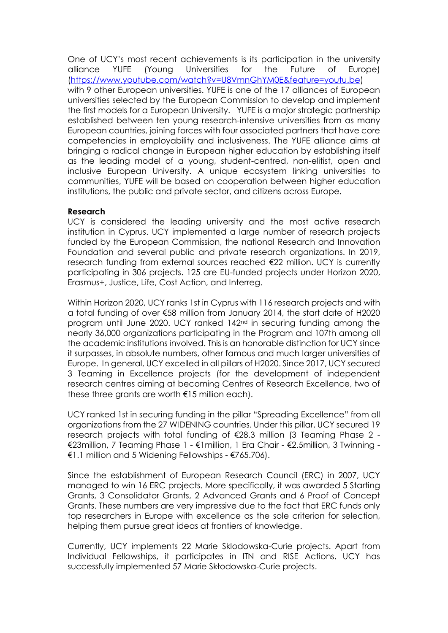One of UCY's most recent achievements is its participation in the university alliance YUFE (Young Universities for the Future of Europe) [\(https://www.youtube.com/watch?v=U8VmnGhYM0E&feature=youtu.be\)](https://www.youtube.com/watch?v=U8VmnGhYM0E&feature=youtu.be) with 9 other European universities. YUFE is one of the 17 alliances of European universities selected by the European Commission to develop and implement the first models for a European University. YUFE is a major strategic partnership established between ten young research-intensive universities from as many European countries, joining forces with four associated partners that have core competencies in employability and inclusiveness. The YUFE alliance aims at bringing a radical change in European higher education by establishing itself as the leading model of a young, student-centred, non-elitist, open and inclusive European University. A unique ecosystem linking universities to communities, YUFE will be based on cooperation between higher education institutions, the public and private sector, and citizens across Europe.

#### **Research**

UCY is considered the leading university and the most active research institution in Cyprus. UCY implemented a large number of research projects funded by the European Commission, the national Research and Innovation Foundation and several public and private research organizations. In 2019, research funding from external sources reached €22 million. UCY is currently participating in 306 projects. 125 are EU-funded projects under Horizon 2020, Erasmus+, Justice, Life, Cost Action, and Interreg.

Within Horizon 2020, UCY ranks 1st in Cyprus with 116 research projects and with a total funding of over €58 million from January 2014, the start date of H2020 program until June 2020. UCY ranked 142nd in securing funding among the nearly 36,000 organizations participating in the Program and 107th among all the academic institutions involved. This is an honorable distinction for UCY since it surpasses, in absolute numbers, other famous and much larger universities of Europe. In general, UCY excelled in all pillars of H2020. Since 2017, UCY secured 3 Teaming in Excellence projects (for the development of independent research centres aiming at becoming Centres of Research Excellence, two of these three grants are worth  $\epsilon$ 15 million each).

UCY ranked 1st in securing funding in the pillar "Spreading Excellence" from all organizations from the 27 WIDENING countries. Under this pillar, UCY secured 19 research projects with total funding of €28.3 million (3 Teaming Phase 2 - €23million, 7 Teaming Phase 1 - €1million, 1 Era Chair - €2.5million, 3 Twinning - €1.1 million and 5 Widening Fellowships - €765.706).

Since the establishment of European Research Council (ERC) in 2007, UCY managed to win 16 ERC projects. More specifically, it was awarded 5 Starting Grants, 3 Consolidator Grants, 2 Advanced Grants and 6 Proof of Concept Grants. These numbers are very impressive due to the fact that ERC funds only top researchers in Europe with excellence as the sole criterion for selection, helping them pursue great ideas at frontiers of knowledge.

Currently, UCY implements 22 Marie Sklodowska-Curie projects. Apart from Individual Fellowships, it participates in ITN and RISE Actions. UCY has successfully implemented 57 Marie Skłodowska-Curie projects.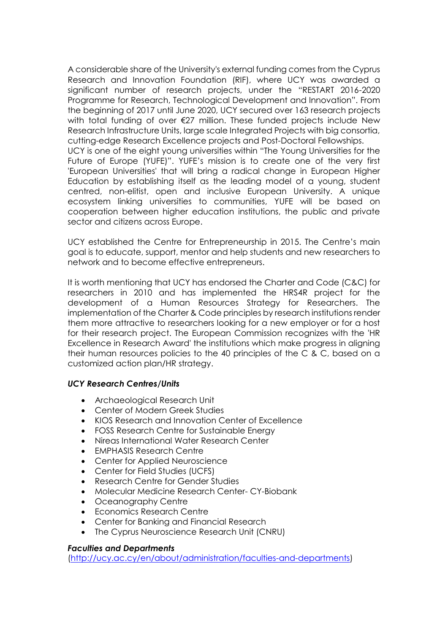A considerable share of the University's external funding comes from the Cyprus Research and Innovation Foundation (RIF), where UCY was awarded a significant number of research projects, under the "RESTART 2016-2020 Programme for Research, Technological Development and Innovation". From the beginning of 2017 until June 2020, UCY secured over 163 research projects with total funding of over €27 million. These funded projects include New Research Infrastructure Units, large scale Integrated Projects with big consortia, cutting-edge Research Excellence projects and Post-Doctoral Fellowships.

UCY is one of the eight young universities within "The Young Universities for the Future of Europe (YUFE)". YUFE's mission is to create one of the very first 'European Universities' that will bring a radical change in European Higher Education by establishing itself as the leading model of a young, student centred, non-elitist, open and inclusive European University. A unique ecosystem linking universities to communities, YUFE will be based on cooperation between higher education institutions, the public and private sector and citizens across Europe.

UCY established the Centre for Entrepreneurship in 2015. The Centre's main goal is to educate, support, mentor and help students and new researchers to network and to become effective entrepreneurs.

Ιt is worth mentioning that UCY has endorsed the Charter and Code (C&C) for researchers in 2010 and has implemented the HRS4R project for the development of a Human Resources Strategy for Researchers. The implementation of the Charter & Code principles by research institutions render them more attractive to researchers looking for a new employer or for a host for their research project. The European Commission recognizes with the 'HR Excellence in Research Award' the institutions which make progress in aligning their human resources policies to the 40 principles of the C & C, based on a customized action plan/HR strategy.

# *UCY Research Centres/Units*

- Archaeological Research Unit
- Center of Modern Greek Studies
- KIOS Research and Innovation Center of Excellence
- FOSS Research Centre for Sustainable Energy
- Nireas International Water Research Center
- **EMPHASIS Research Centre**
- Center for Applied Neuroscience
- Center for Field Studies (UCFS)
- Research Centre for Gender Studies
- Molecular Medicine Research Center- CY-Biobank
- Oceanography Centre
- Economics Research Centre
- Center for Banking and Financial Research
- The Cyprus Neuroscience Research Unit (CNRU)

## *Faculties and Departments*

[\(http://ucy.ac.cy/en/about/administration/faculties-and-departments\)](http://ucy.ac.cy/en/about/administration/faculties-and-departments)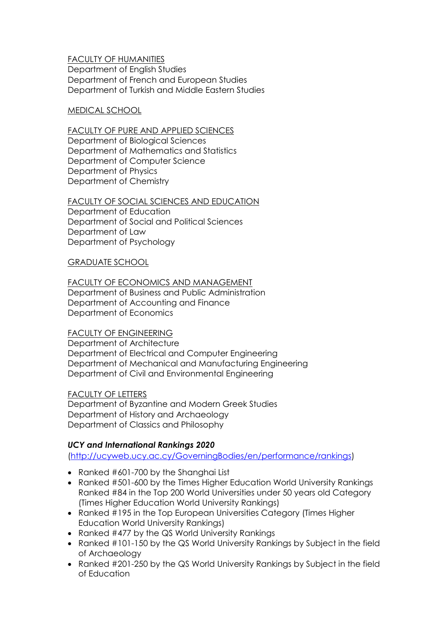## FACULTY OF HUMANITIES Department of English Studies Department of French and European Studies Department of Turkish and Middle Eastern Studies

## MEDICAL SCHOOL

#### FACULTY OF PURE AND APPLIED SCIENCES Department of Biological Sciences

Department of Mathematics and Statistics Department of Computer Science Department of Physics Department of Chemistry

## FACULTY OF SOCIAL SCIENCES AND EDUCATION

Department of Education Department of Social and Political Sciences Department of Law Department of Psychology

## GRADUATE SCHOOL

## FACULTY OF ECONOMICS AND MANAGEMENT

Department of Business and Public Administration Department of Accounting and Finance Department of Economics

## FACULTY OF ENGINEERING

Department of Architecture Department of Electrical and Computer Engineering Department of Mechanical and Manufacturing Engineering Department of Civil and Environmental Engineering

## FACULTY OF LETTERS

Department of Byzantine and Modern Greek Studies Department of History and Archaeology Department of Classics and Philosophy

# *UCY and International Rankings 2020*

[\(http://ucyweb.ucy.ac.cy/GoverningBodies/en/performance/rankings\)](http://ucyweb.ucy.ac.cy/GoverningBodies/en/performance/rankings)

- Ranked #601-700 by the Shanghai List
- Ranked #501-600 by the Times Higher Education World University Rankings Ranked #84 in the Top 200 World Universities under 50 years old Category (Times Higher Education World University Rankings)
- Ranked #195 in the Top European Universities Category (Times Higher Education World University Rankings)
- Ranked #477 by the QS World University Rankings
- Ranked #101-150 by the QS World University Rankings by Subject in the field of Archaeology
- Ranked #201-250 by the QS World University Rankings by Subject in the field of Education